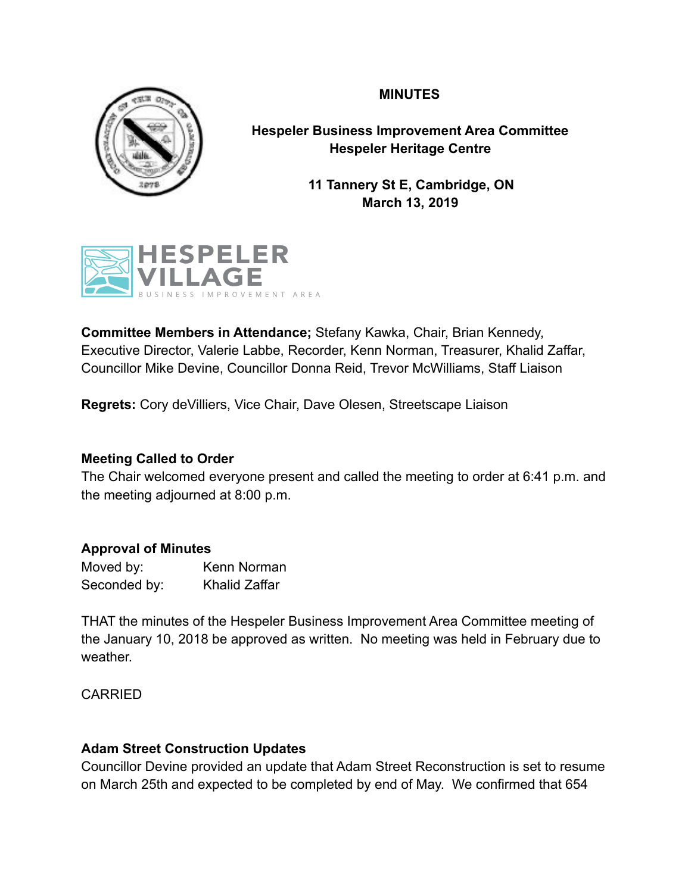## **MINUTES**



**Hespeler Business Improvement Area Committee Hespeler Heritage Centre** 

> **11 Tannery St E, Cambridge, ON March 13, 2019**



**Committee Members in Attendance;** Stefany Kawka, Chair, Brian Kennedy, Executive Director, Valerie Labbe, Recorder, Kenn Norman, Treasurer, Khalid Zaffar, Councillor Mike Devine, Councillor Donna Reid, Trevor McWilliams, Staff Liaison

**Regrets:** Cory deVilliers, Vice Chair, Dave Olesen, Streetscape Liaison

## **Meeting Called to Order**

The Chair welcomed everyone present and called the meeting to order at 6:41 p.m. and the meeting adjourned at 8:00 p.m.

# **Approval of Minutes**

| Moved by:    | Kenn Norman          |
|--------------|----------------------|
| Seconded by: | <b>Khalid Zaffar</b> |

THAT the minutes of the Hespeler Business Improvement Area Committee meeting of the January 10, 2018 be approved as written. No meeting was held in February due to weather.

CARRIED

# **Adam Street Construction Updates**

Councillor Devine provided an update that Adam Street Reconstruction is set to resume on March 25th and expected to be completed by end of May. We confirmed that 654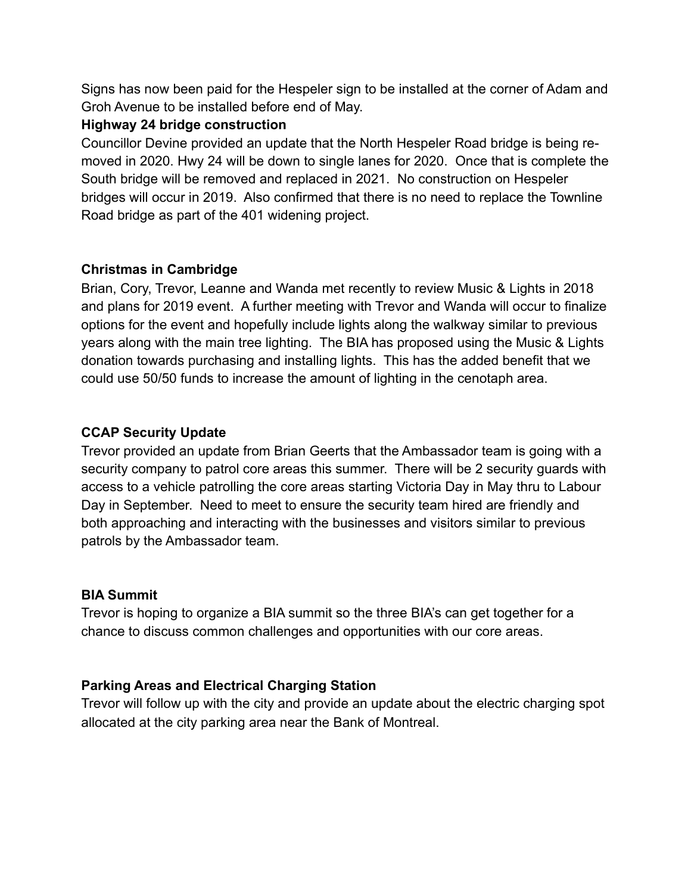Signs has now been paid for the Hespeler sign to be installed at the corner of Adam and Groh Avenue to be installed before end of May.

## **Highway 24 bridge construction**

Councillor Devine provided an update that the North Hespeler Road bridge is being removed in 2020. Hwy 24 will be down to single lanes for 2020. Once that is complete the South bridge will be removed and replaced in 2021. No construction on Hespeler bridges will occur in 2019. Also confirmed that there is no need to replace the Townline Road bridge as part of the 401 widening project.

## **Christmas in Cambridge**

Brian, Cory, Trevor, Leanne and Wanda met recently to review Music & Lights in 2018 and plans for 2019 event. A further meeting with Trevor and Wanda will occur to finalize options for the event and hopefully include lights along the walkway similar to previous years along with the main tree lighting. The BIA has proposed using the Music & Lights donation towards purchasing and installing lights. This has the added benefit that we could use 50/50 funds to increase the amount of lighting in the cenotaph area.

# **CCAP Security Update**

Trevor provided an update from Brian Geerts that the Ambassador team is going with a security company to patrol core areas this summer. There will be 2 security guards with access to a vehicle patrolling the core areas starting Victoria Day in May thru to Labour Day in September. Need to meet to ensure the security team hired are friendly and both approaching and interacting with the businesses and visitors similar to previous patrols by the Ambassador team.

# **BIA Summit**

Trevor is hoping to organize a BIA summit so the three BIA's can get together for a chance to discuss common challenges and opportunities with our core areas.

# **Parking Areas and Electrical Charging Station**

Trevor will follow up with the city and provide an update about the electric charging spot allocated at the city parking area near the Bank of Montreal.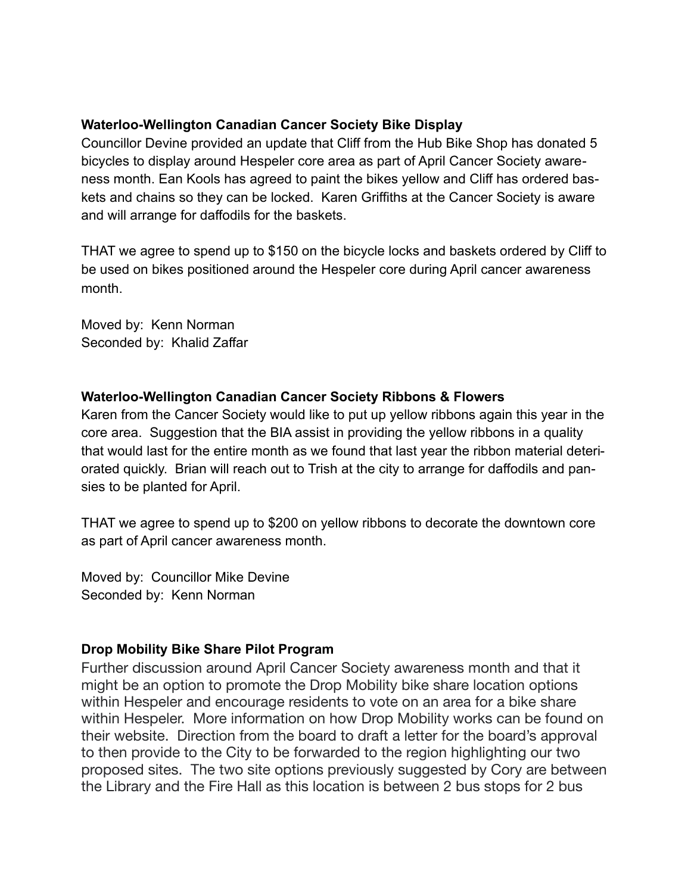## **Waterloo-Wellington Canadian Cancer Society Bike Display**

Councillor Devine provided an update that Cliff from the Hub Bike Shop has donated 5 bicycles to display around Hespeler core area as part of April Cancer Society awareness month. Ean Kools has agreed to paint the bikes yellow and Cliff has ordered baskets and chains so they can be locked. Karen Griffiths at the Cancer Society is aware and will arrange for daffodils for the baskets.

THAT we agree to spend up to \$150 on the bicycle locks and baskets ordered by Cliff to be used on bikes positioned around the Hespeler core during April cancer awareness month.

Moved by: Kenn Norman Seconded by: Khalid Zaffar

### **Waterloo-Wellington Canadian Cancer Society Ribbons & Flowers**

Karen from the Cancer Society would like to put up yellow ribbons again this year in the core area. Suggestion that the BIA assist in providing the yellow ribbons in a quality that would last for the entire month as we found that last year the ribbon material deteriorated quickly. Brian will reach out to Trish at the city to arrange for daffodils and pansies to be planted for April.

THAT we agree to spend up to \$200 on yellow ribbons to decorate the downtown core as part of April cancer awareness month.

Moved by: Councillor Mike Devine Seconded by: Kenn Norman

## **Drop Mobility Bike Share Pilot Program**

Further discussion around April Cancer Society awareness month and that it might be an option to promote the Drop Mobility bike share location options within Hespeler and encourage residents to vote on an area for a bike share within Hespeler. More information on how Drop Mobility works can be found on their website. Direction from the board to draft a letter for the board's approval to then provide to the City to be forwarded to the region highlighting our two proposed sites. The two site options previously suggested by Cory are between the Library and the Fire Hall as this location is between 2 bus stops for 2 bus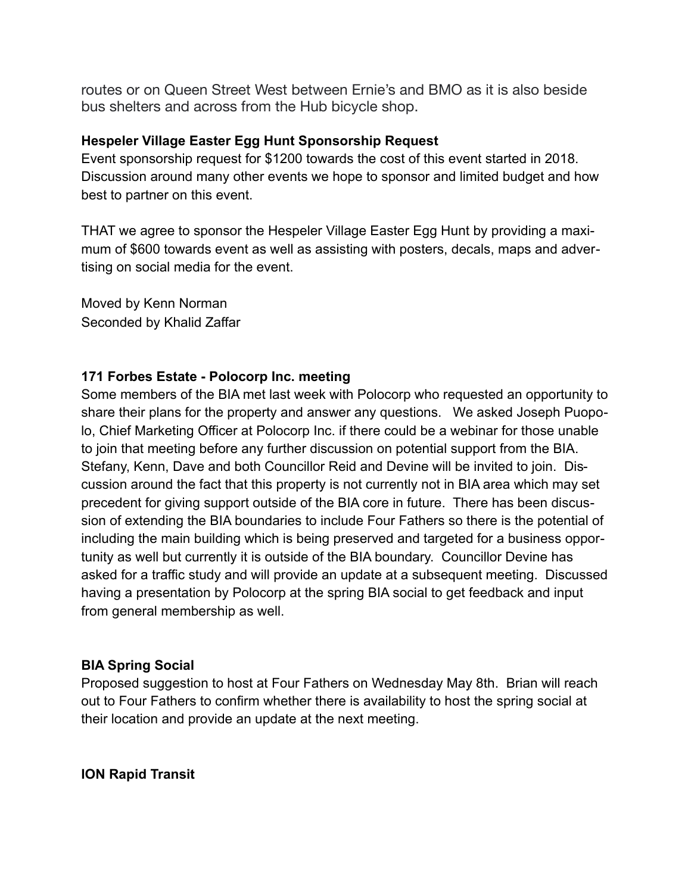routes or on Queen Street West between Ernie's and BMO as it is also beside bus shelters and across from the Hub bicycle shop.

## **Hespeler Village Easter Egg Hunt Sponsorship Request**

Event sponsorship request for \$1200 towards the cost of this event started in 2018. Discussion around many other events we hope to sponsor and limited budget and how best to partner on this event.

THAT we agree to sponsor the Hespeler Village Easter Egg Hunt by providing a maximum of \$600 towards event as well as assisting with posters, decals, maps and advertising on social media for the event.

Moved by Kenn Norman Seconded by Khalid Zaffar

## **171 Forbes Estate - Polocorp Inc. meeting**

Some members of the BIA met last week with Polocorp who requested an opportunity to share their plans for the property and answer any questions. We asked Joseph Puopolo, Chief Marketing Officer at Polocorp Inc. if there could be a webinar for those unable to join that meeting before any further discussion on potential support from the BIA. Stefany, Kenn, Dave and both Councillor Reid and Devine will be invited to join. Discussion around the fact that this property is not currently not in BIA area which may set precedent for giving support outside of the BIA core in future. There has been discussion of extending the BIA boundaries to include Four Fathers so there is the potential of including the main building which is being preserved and targeted for a business opportunity as well but currently it is outside of the BIA boundary. Councillor Devine has asked for a traffic study and will provide an update at a subsequent meeting. Discussed having a presentation by Polocorp at the spring BIA social to get feedback and input from general membership as well.

## **BIA Spring Social**

Proposed suggestion to host at Four Fathers on Wednesday May 8th. Brian will reach out to Four Fathers to confirm whether there is availability to host the spring social at their location and provide an update at the next meeting.

## **ION Rapid Transit**